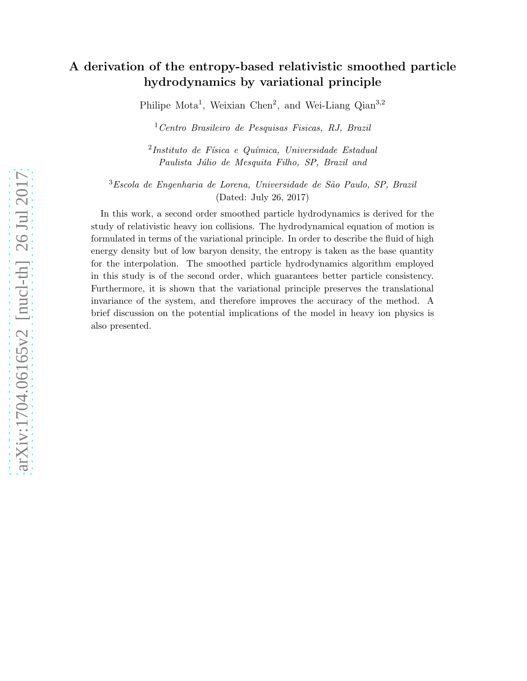# A derivation of the entropy-based relativistic smoothed particle hydrodynamics by variational principle

Philipe Mota<sup>1</sup>, Weixian Chen<sup>2</sup>, and Wei-Liang Qian<sup>3,2</sup>

 $1$ Centro Brasileiro de Pesquisas Fisicas, RJ, Brazil

 $^{2}$ Instituto de Física e Química, Universidade Estadual Paulista Júlio de Mesquita Filho, SP, Brazil and

 $3$ Escola de Engenharia de Lorena, Universidade de São Paulo, SP, Brazil (Dated: July 26, 2017)

In this work, a second order smoothed particle hydrodynamics is derived for the study of relativistic heavy ion collisions. The hydrodynamical equation of motion is formulated in terms of the variational principle. In order to describe the fluid of high energy density but of low baryon density, the entropy is taken as the base quantity for the interpolation. The smoothed particle hydrodynamics algorithm employed in this study is of the second order, which guarantees better particle consistency. Furthermore, it is shown that the variational principle preserves the translational invariance of the system, and therefore improves the accuracy of the method. A brief discussion on the potential implications of the model in heavy ion physics is also presented.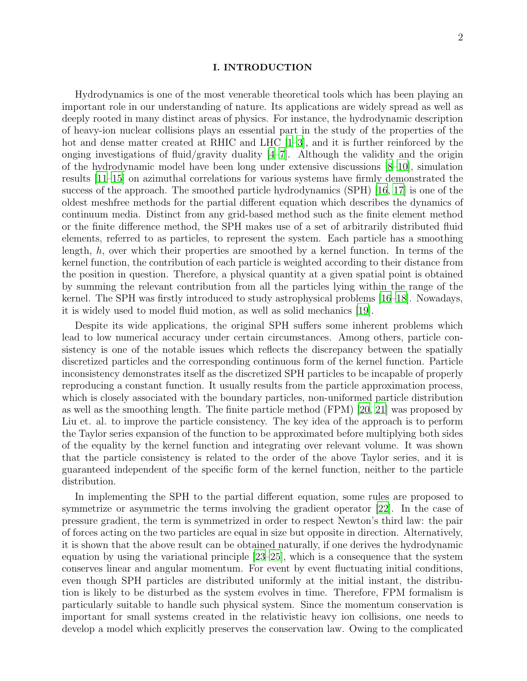#### I. INTRODUCTION

Hydrodynamics is one of the most venerable theoretical tools which has been playing an important role in our understanding of nature. Its applications are widely spread as well as deeply rooted in many distinct areas of physics. For instance, the hydrodynamic description of heavy-ion nuclear collisions plays an essential part in the study of the properties of the hot and dense matter created at RHIC and LHC  $[1-3]$ , and it is further reinforced by the onging investigations of fluid/gravity duality  $[4-7]$ . Although the validity and the origin of the hydrodynamic model have been long under extensive discussions [\[8](#page-9-0)[–10\]](#page-9-1), simulation results [\[11](#page-9-2)[–15\]](#page-9-3) on azimuthal correlations for various systems have firmly demonstrated the success of the approach. The smoothed particle hydrodynamics (SPH) [\[16](#page-9-4), [17](#page-9-5)] is one of the oldest meshfree methods for the partial different equation which describes the dynamics of continuum media. Distinct from any grid-based method such as the finite element method or the finite difference method, the SPH makes use of a set of arbitrarily distributed fluid elements, referred to as particles, to represent the system. Each particle has a smoothing length,  $h$ , over which their properties are smoothed by a kernel function. In terms of the kernel function, the contribution of each particle is weighted according to their distance from the position in question. Therefore, a physical quantity at a given spatial point is obtained by summing the relevant contribution from all the particles lying within the range of the kernel. The SPH was firstly introduced to study astrophysical problems [\[16](#page-9-4)[–18](#page-9-6)]. Nowadays, it is widely used to model fluid motion, as well as solid mechanics [\[19](#page-9-7)].

Despite its wide applications, the original SPH suffers some inherent problems which lead to low numerical accuracy under certain circumstances. Among others, particle consistency is one of the notable issues which reflects the discrepancy between the spatially discretized particles and the corresponding continuous form of the kernel function. Particle inconsistency demonstrates itself as the discretized SPH particles to be incapable of properly reproducing a constant function. It usually results from the particle approximation process, which is closely associated with the boundary particles, non-uniformed particle distribution as well as the smoothing length. The finite particle method (FPM) [\[20,](#page-9-8) [21\]](#page-9-9) was proposed by Liu et. al. to improve the particle consistency. The key idea of the approach is to perform the Taylor series expansion of the function to be approximated before multiplying both sides of the equality by the kernel function and integrating over relevant volume. It was shown that the particle consistency is related to the order of the above Taylor series, and it is guaranteed independent of the specific form of the kernel function, neither to the particle distribution.

In implementing the SPH to the partial different equation, some rules are proposed to symmetrize or asymmetric the terms involving the gradient operator [\[22](#page-9-10)]. In the case of pressure gradient, the term is symmetrized in order to respect Newton's third law: the pair of forces acting on the two particles are equal in size but opposite in direction. Alternatively, it is shown that the above result can be obtained naturally, if one derives the hydrodynamic equation by using the variational principle [\[23](#page-9-11)[–25\]](#page-9-12), which is a consequence that the system conserves linear and angular momentum. For event by event fluctuating initial conditions, even though SPH particles are distributed uniformly at the initial instant, the distribution is likely to be disturbed as the system evolves in time. Therefore, FPM formalism is particularly suitable to handle such physical system. Since the momentum conservation is important for small systems created in the relativistic heavy ion collisions, one needs to develop a model which explicitly preserves the conservation law. Owing to the complicated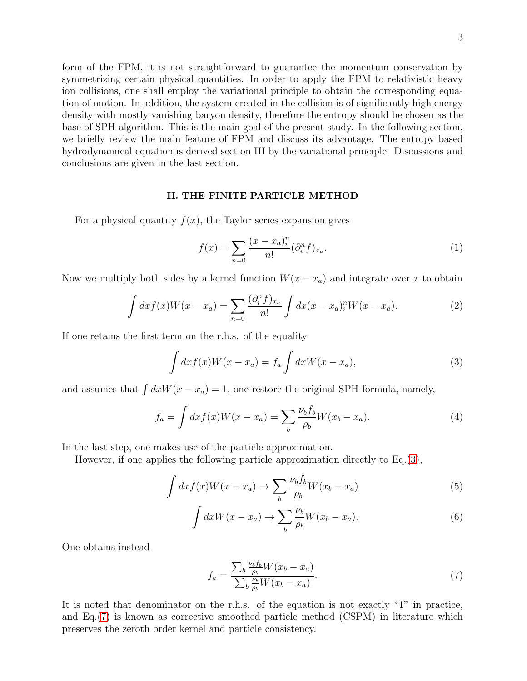form of the FPM, it is not straightforward to guarantee the momentum conservation by symmetrizing certain physical quantities. In order to apply the FPM to relativistic heavy ion collisions, one shall employ the variational principle to obtain the corresponding equation of motion. In addition, the system created in the collision is of significantly high energy density with mostly vanishing baryon density, therefore the entropy should be chosen as the base of SPH algorithm. This is the main goal of the present study. In the following section, we briefly review the main feature of FPM and discuss its advantage. The entropy based hydrodynamical equation is derived section III by the variational principle. Discussions and conclusions are given in the last section.

## II. THE FINITE PARTICLE METHOD

For a physical quantity  $f(x)$ , the Taylor series expansion gives

<span id="page-2-2"></span>
$$
f(x) = \sum_{n=0}^{\infty} \frac{(x - x_a)_i^n}{n!} (\partial_i^n f)_{x_a}.
$$
 (1)

Now we multiply both sides by a kernel function  $W(x - x_a)$  and integrate over x to obtain

$$
\int dx f(x)W(x-x_a) = \sum_{n=0}^{\infty} \frac{(\partial_i^n f)_{x_a}}{n!} \int dx (x-x_a)_i^n W(x-x_a). \tag{2}
$$

If one retains the first term on the r.h.s. of the equality

<span id="page-2-0"></span>
$$
\int dx f(x)W(x - x_a) = f_a \int dx W(x - x_a), \tag{3}
$$

and assumes that  $\int dx W(x - x_a) = 1$ , one restore the original SPH formula, namely,

$$
f_a = \int dx f(x)W(x - x_a) = \sum_b \frac{\nu_b f_b}{\rho_b} W(x_b - x_a). \tag{4}
$$

In the last step, one makes use of the particle approximation.

However, if one applies the following particle approximation directly to Eq.[\(3\)](#page-2-0),

$$
\int dx f(x)W(x - x_a) \to \sum_b \frac{\nu_b f_b}{\rho_b} W(x_b - x_a) \tag{5}
$$

$$
\int dx W(x - x_a) \to \sum_b \frac{\nu_b}{\rho_b} W(x_b - x_a). \tag{6}
$$

One obtains instead

<span id="page-2-1"></span>
$$
f_a = \frac{\sum_b \frac{\nu_b f_b}{\rho_b} W(x_b - x_a)}{\sum_b \frac{\nu_b}{\rho_b} W(x_b - x_a)}.
$$
\n
$$
(7)
$$

It is noted that denominator on the r.h.s. of the equation is not exactly "1" in practice, and Eq.[\(7\)](#page-2-1) is known as corrective smoothed particle method (CSPM) in literature which preserves the zeroth order kernel and particle consistency.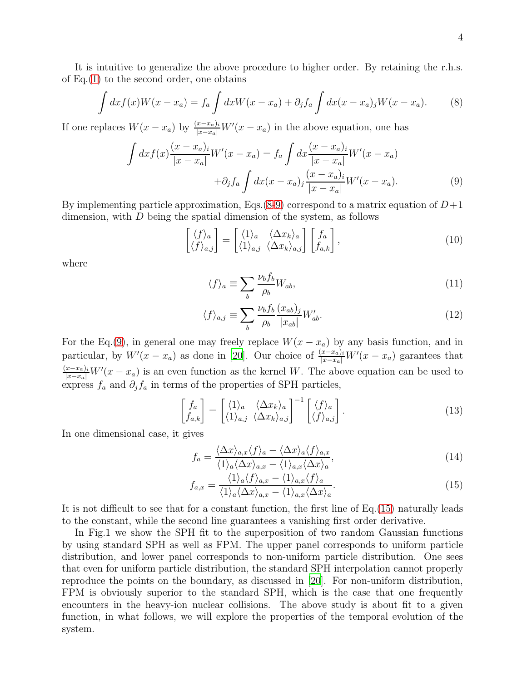It is intuitive to generalize the above procedure to higher order. By retaining the r.h.s. of  $Eq.(1)$  $Eq.(1)$  to the second order, one obtains

<span id="page-3-0"></span>
$$
\int dx f(x)W(x - x_a) = f_a \int dx W(x - x_a) + \partial_j f_a \int dx (x - x_a)_j W(x - x_a). \tag{8}
$$

If one replaces  $W(x - x_a)$  by  $\frac{(x - x_a)_i}{|x - x_a|} W'(x - x_a)$  in the above equation, one has

<span id="page-3-1"></span>
$$
\int dx f(x) \frac{(x - x_a)_i}{|x - x_a|} W'(x - x_a) = f_a \int dx \frac{(x - x_a)_i}{|x - x_a|} W'(x - x_a)
$$

$$
+ \partial_j f_a \int dx (x - x_a)_j \frac{(x - x_a)_i}{|x - x_a|} W'(x - x_a). \tag{9}
$$

By implementing particle approximation, Eqs.  $(8-9)$  $(8-9)$  correspond to a matrix equation of  $D+1$ dimension, with D being the spatial dimension of the system, as follows

$$
\begin{bmatrix} \langle f \rangle_a \\ \langle f \rangle_{a,j} \end{bmatrix} = \begin{bmatrix} \langle 1 \rangle_a & \langle \Delta x_k \rangle_a \\ \langle 1 \rangle_{a,j} & \langle \Delta x_k \rangle_{a,j} \end{bmatrix} \begin{bmatrix} f_a \\ f_{a,k} \end{bmatrix},\tag{10}
$$

where

$$
\langle f \rangle_a \equiv \sum_b \frac{\nu_b f_b}{\rho_b} W_{ab},\tag{11}
$$

$$
\langle f \rangle_{a,j} \equiv \sum_{b} \frac{\nu_b f_b}{\rho_b} \frac{(x_{ab})_j}{|x_{ab}|} W'_{ab}.
$$
 (12)

For the Eq.[\(9\)](#page-3-1), in general one may freely replace  $W(x - x_a)$  by any basis function, and in particular, by  $W'(x-x_a)$  as done in [\[20\]](#page-9-8). Our choice of  $\frac{(x-x_a)_i}{|x-x_a|}W'(x-x_a)$  garantees that  $\frac{(x-x_a)_i}{|x-x_a|}W'(x-x_a)$  is an even function as the kernel W. The above equation can be used to express  $f_a$  and  $\partial_j f_a$  in terms of the properties of SPH particles,

$$
\begin{bmatrix} f_a \\ f_{a,k} \end{bmatrix} = \begin{bmatrix} \langle 1 \rangle_a & \langle \Delta x_k \rangle_a \\ \langle 1 \rangle_{a,j} & \langle \Delta x_k \rangle_{a,j} \end{bmatrix}^{-1} \begin{bmatrix} \langle f \rangle_a \\ \langle f \rangle_{a,j} \end{bmatrix} . \tag{13}
$$

In one dimensional case, it gives

<span id="page-3-2"></span>
$$
f_a = \frac{\langle \Delta x \rangle_{a,x} \langle f \rangle_a - \langle \Delta x \rangle_a \langle f \rangle_{a,x}}{\langle 1 \rangle_a \langle \Delta x \rangle_{a,x} - \langle 1 \rangle_{a,x} \langle \Delta x \rangle_a},\tag{14}
$$

$$
f_{a,x} = \frac{\langle 1 \rangle_a \langle f \rangle_{a,x} - \langle 1 \rangle_{a,x} \langle f \rangle_a}{\langle 1 \rangle_a \langle \Delta x \rangle_{a,x} - \langle 1 \rangle_{a,x} \langle \Delta x \rangle_a}.
$$
(15)

It is not difficult to see that for a constant function, the first line of Eq.[\(15\)](#page-3-2) naturally leads to the constant, while the second line guarantees a vanishing first order derivative.

In Fig.1 we show the SPH fit to the superposition of two random Gaussian functions by using standard SPH as well as FPM. The upper panel corresponds to uniform particle distribution, and lower panel corresponds to non-uniform particle distribution. One sees that even for uniform particle distribution, the standard SPH interpolation cannot properly reproduce the points on the boundary, as discussed in [\[20\]](#page-9-8). For non-uniform distribution, FPM is obviously superior to the standard SPH, which is the case that one frequently encounters in the heavy-ion nuclear collisions. The above study is about fit to a given function, in what follows, we will explore the properties of the temporal evolution of the system.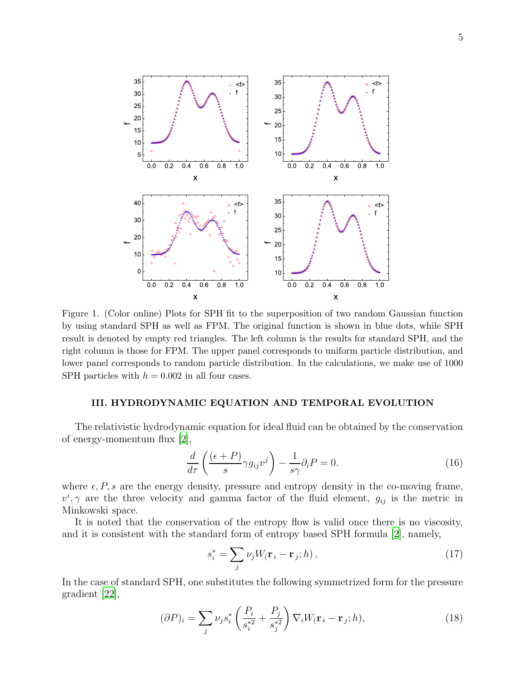

Figure 1. (Color online) Plots for SPH fit to the superposition of two random Gaussian function by using standard SPH as well as FPM. The original function is shown in blue dots, while SPH result is denoted by empty red triangles. The left column is the results for standard SPH, and the right column is those for FPM. The upper panel corresponds to uniform particle distribution, and lower panel corresponds to random particle distribution. In the calculations, we make use of 1000 SPH particles with  $h = 0.002$  in all four cases.

### III. HYDRODYNAMIC EQUATION AND TEMPORAL EVOLUTION

The relativistic hydrodynamic equation for ideal fluid can be obtained by the conservation of energy-momentum flux [\[2](#page-8-4)],

<span id="page-4-0"></span>
$$
\frac{d}{d\tau} \left( \frac{(\epsilon + P)}{s} \gamma g_{ij} v^j \right) - \frac{1}{s\gamma} \partial_i P = 0.
$$
\n(16)

where  $\epsilon$ , P, s are the energy density, pressure and entropy density in the co-moving frame,  $v^i, \gamma$  are the three velocity and gamma factor of the fluid element,  $g_{ij}$  is the metric in Minkowski space.

It is noted that the conservation of the entropy flow is valid once there is no viscosity, and it is consistent with the standard form of entropy based SPH formula [\[2\]](#page-8-4), namely,

<span id="page-4-2"></span>
$$
s_i^* = \sum_j \nu_j W(\mathbf{r}_i - \mathbf{r}_j; h), \qquad (17)
$$

In the case of standard SPH, one substitutes the following symmetrized form for the pressure gradient [\[22\]](#page-9-10),

<span id="page-4-1"></span>
$$
(\partial P)_i = \sum_j \nu_j s_i^* \left( \frac{P_i}{s_i^{*2}} + \frac{P_j}{s_j^{*2}} \right) \nabla_i W_i \mathbf{r}_i - \mathbf{r}_j; h), \tag{18}
$$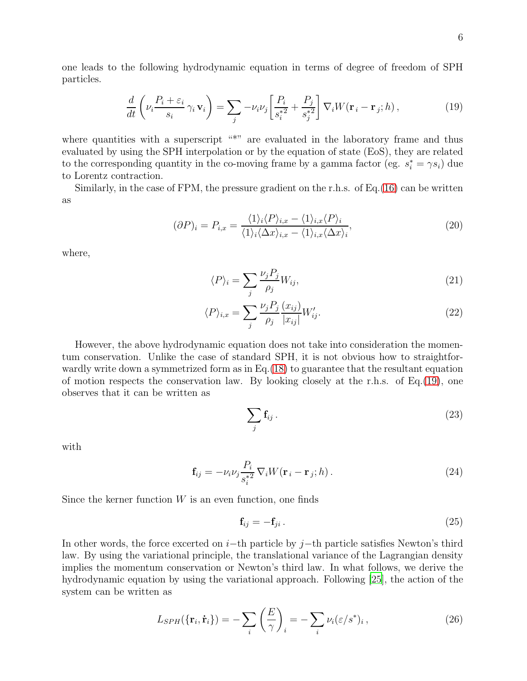one leads to the following hydrodynamic equation in terms of degree of freedom of SPH particles.

<span id="page-5-0"></span>
$$
\frac{d}{dt}\left(\nu_i \frac{P_i + \varepsilon_i}{s_i} \gamma_i \mathbf{v}_i\right) = \sum_j -\nu_i \nu_j \left[\frac{P_i}{s_i^{*2}} + \frac{P_j}{s_j^{*2}}\right] \nabla_i W(\mathbf{r}_i - \mathbf{r}_j; h),\tag{19}
$$

where quantities with a superscript "\*" are evaluated in the laboratory frame and thus evaluated by using the SPH interpolation or by the equation of state (EoS), they are related to the corresponding quantity in the co-moving frame by a gamma factor (eg.  $s_i^* = \gamma s_i$ ) due to Lorentz contraction.

Similarly, in the case of FPM, the pressure gradient on the r.h.s. of Eq.[\(16\)](#page-4-0) can be written as

$$
(\partial P)_i = P_{i,x} = \frac{\langle 1 \rangle_i \langle P \rangle_{i,x} - \langle 1 \rangle_{i,x} \langle P \rangle_i}{\langle 1 \rangle_i \langle \Delta x \rangle_{i,x} - \langle 1 \rangle_{i,x} \langle \Delta x \rangle_i},\tag{20}
$$

where,

$$
\langle P \rangle_i = \sum_j \frac{\nu_j P_j}{\rho_j} W_{ij},\tag{21}
$$

$$
\langle P \rangle_{i,x} = \sum_{j} \frac{\nu_j P_j}{\rho_j} \frac{(x_{ij})}{|x_{ij}|} W'_{ij}.
$$
\n(22)

However, the above hydrodynamic equation does not take into consideration the momentum conservation. Unlike the case of standard SPH, it is not obvious how to straightforwardly write down a symmetrized form as in Eq.[\(18\)](#page-4-1) to guarantee that the resultant equation of motion respects the conservation law. By looking closely at the r.h.s. of Eq.[\(19\)](#page-5-0), one observes that it can be written as

$$
\sum_{j} \mathbf{f}_{ij} \,. \tag{23}
$$

with

<span id="page-5-1"></span>
$$
\mathbf{f}_{ij} = -\nu_i \nu_j \frac{P_i}{s_i^{*2}} \nabla_i W(\mathbf{r}_i - \mathbf{r}_j; h).
$$
 (24)

Since the kerner function  $W$  is an even function, one finds

$$
\mathbf{f}_{ij} = -\mathbf{f}_{ji} \,. \tag{25}
$$

In other words, the force excerted on i–th particle by j–th particle satisfies Newton's third law. By using the variational principle, the translational variance of the Lagrangian density implies the momentum conservation or Newton's third law. In what follows, we derive the hydrodynamic equation by using the variational approach. Following [\[25](#page-9-12)], the action of the system can be written as

$$
L_{SPH}(\{\mathbf{r}_i, \dot{\mathbf{r}}_i\}) = -\sum_i \left(\frac{E}{\gamma}\right)_i = -\sum_i \nu_i (\varepsilon/s^*)_i ,\qquad(26)
$$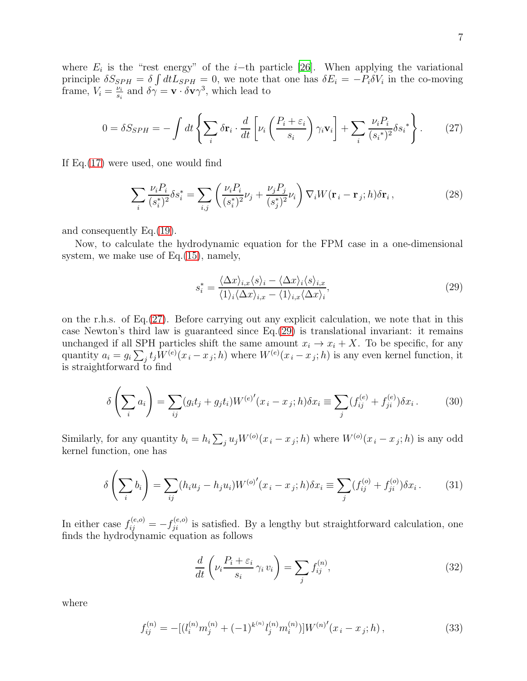where  $E_i$  is the "rest energy" of the *i*-th particle [\[26\]](#page-9-13). When applying the variational principle  $\delta S_{SPH} = \delta \int dt L_{SPH} = 0$ , we note that one has  $\delta E_i = -P_i \delta V_i$  in the co-moving frame,  $V_i = \frac{\nu_i}{s_i}$  $\frac{\nu_i}{s_i}$  and  $\delta \gamma = \mathbf{v} \cdot \delta \mathbf{v} \gamma^3$ , which lead to

<span id="page-6-0"></span>
$$
0 = \delta S_{SPH} = -\int dt \left\{ \sum_{i} \delta \mathbf{r}_{i} \cdot \frac{d}{dt} \left[ \nu_{i} \left( \frac{P_{i} + \varepsilon_{i}}{s_{i}} \right) \gamma_{i} \mathbf{v}_{i} \right] + \sum_{i} \frac{\nu_{i} P_{i}}{(s_{i}^{*})^{2}} \delta s_{i}^{*} \right\}.
$$
 (27)

If Eq.[\(17\)](#page-4-2) were used, one would find

$$
\sum_{i} \frac{\nu_i P_i}{(s_i^*)^2} \delta s_i^* = \sum_{i,j} \left( \frac{\nu_i P_i}{(s_i^*)^2} \nu_j + \frac{\nu_j P_j}{(s_j^*)^2} \nu_i \right) \nabla_i W(\mathbf{r}_i - \mathbf{r}_j; h) \delta \mathbf{r}_i, \tag{28}
$$

and consequently Eq.[\(19\)](#page-5-0).

Now, to calculate the hydrodynamic equation for the FPM case in a one-dimensional system, we make use of Eq.[\(15\)](#page-3-2), namely,

<span id="page-6-1"></span>
$$
s_i^* = \frac{\langle \Delta x \rangle_{i,x} \langle s \rangle_i - \langle \Delta x \rangle_i \langle s \rangle_{i,x}}{\langle 1 \rangle_i \langle \Delta x \rangle_{i,x} - \langle 1 \rangle_{i,x} \langle \Delta x \rangle_i},\tag{29}
$$

on the r.h.s. of Eq.[\(27\)](#page-6-0). Before carrying out any explicit calculation, we note that in this case Newton's third law is guaranteed since Eq.[\(29\)](#page-6-1) is translational invariant: it remains unchanged if all SPH particles shift the same amount  $x_i \to x_i + X$ . To be specific, for any quantity  $a_i = g_i \sum_j t_j W^{(e)}(x_i - x_j; h)$  where  $W^{(e)}(x_i - x_j; h)$  is any even kernel function, it is straightforward to find

$$
\delta\left(\sum_{i} a_{i}\right) = \sum_{ij} (g_{i}t_{j} + g_{j}t_{i})W^{(e)'}(x_{i} - x_{j}; h)\delta x_{i} \equiv \sum_{j} (f_{ij}^{(e)} + f_{ji}^{(e)})\delta x_{i}. \tag{30}
$$

Similarly, for any quantity  $b_i = h_i \sum_j u_j W^{(o)}(x_i - x_j; h)$  where  $W^{(o)}(x_i - x_j; h)$  is any odd kernel function, one has

$$
\delta\left(\sum_{i} b_{i}\right) = \sum_{ij} (h_{i}u_{j} - h_{j}u_{i})W^{(o)'}(x_{i} - x_{j}; h)\delta x_{i} \equiv \sum_{j} (f_{ij}^{(o)} + f_{ji}^{(o)})\delta x_{i}. \tag{31}
$$

In either case  $f_{ij}^{(e,o)} = -f_{ji}^{(e,o)}$  is satisfied. By a lengthy but straightforward calculation, one finds the hydrodynamic equation as follows

$$
\frac{d}{dt}\left(\nu_i \frac{P_i + \varepsilon_i}{s_i} \gamma_i v_i\right) = \sum_j f_{ij}^{(n)},\tag{32}
$$

where

<span id="page-6-2"></span>
$$
f_{ij}^{(n)} = -[(l_i^{(n)}m_j^{(n)} + (-1)^{k^{(n)}}l_j^{(n)}m_i^{(n)})]W^{(n)'}(x_i - x_j; h), \qquad (33)
$$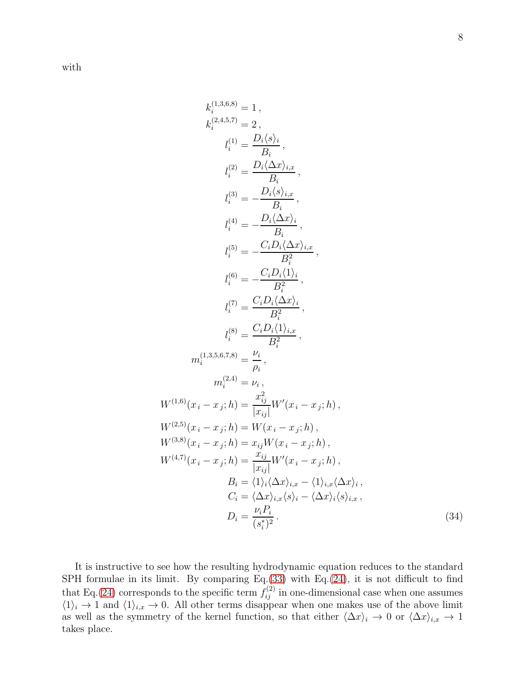$$
k_i^{(1,3,6,8)} = 1,
$$
  
\n
$$
k_i^{(2,4,5,7)} = 2,
$$
  
\n
$$
l_i^{(1)} = \frac{D_i \langle s \rangle_i}{B_i},
$$
  
\n
$$
l_i^{(2)} = \frac{D_i \langle s \rangle_{i,x}}{B_i},
$$
  
\n
$$
l_i^{(3)} = -\frac{D_i \langle s \rangle_{i,x}}{B_i},
$$
  
\n
$$
l_i^{(4)} = -\frac{D_i \langle \Delta x \rangle_i}{B_i},
$$
  
\n
$$
l_i^{(5)} = -\frac{C_i D_i \langle \Delta x \rangle_{i,x}}{B_i^2},
$$
  
\n
$$
l_i^{(6)} = -\frac{C_i D_i \langle 1 \rangle_{i,x}}{B_i^2},
$$
  
\n
$$
l_i^{(7)} = \frac{C_i D_i \langle 1 \rangle_i}{B_i^2},
$$
  
\n
$$
l_i^{(8)} = \frac{C_i D_i \langle \Delta x \rangle_i}{B_i^2},
$$
  
\n
$$
m_i^{(1,3,5,6,7,8)} = \frac{\nu_i}{B_i},
$$
  
\n
$$
m_i^{(2,4)} = \nu_i,
$$
  
\n
$$
W^{(1,6)}(x_i - x_j; h) = \frac{x_{ij}^2}{|x_{ij}|} W'(x_i - x_j; h),
$$
  
\n
$$
W^{(2,5)}(x_i - x_j; h) = W(x_i - x_j; h),
$$
  
\n
$$
W^{(2,5)}(x_i - x_j; h) = W(x_i - x_j; h),
$$
  
\n
$$
W^{(3,8)}(x_i - x_j; h) = xyW(x_i - x_j; h),
$$
  
\n
$$
B_i = \langle 1 \rangle_i \langle \Delta x \rangle_{i,x} - \langle 1 \rangle_{i,x} \langle \Delta x \rangle_i,
$$
  
\n
$$
C_i = \langle \Delta x \rangle_{i,x} \langle s \rangle_i - \langle \Delta x \rangle_i \langle s \rangle_{i,x},
$$
  
\n
$$
D_i = \frac{\nu_i P_i}{(s_i^*)^2}.
$$
  
\n(34)

It is instructive to see how the resulting hydrodynamic equation reduces to the standard SPH formulae in its limit. By comparing Eq.[\(33\)](#page-6-2) with Eq.[\(24\)](#page-5-1), it is not difficult to find that Eq.[\(24\)](#page-5-1) corresponds to the specific term  $f_{ij}^{(2)}$  in one-dimensional case when one assumes  $\langle 1 \rangle_i \rightarrow 1$  and  $\langle 1 \rangle_{i,x} \rightarrow 0$ . All other terms disappear when one makes use of the above limit as well as the symmetry of the kernel function, so that either  $\langle \Delta x \rangle_i \to 0$  or  $\langle \Delta x \rangle_{i,x} \to 1$ takes place.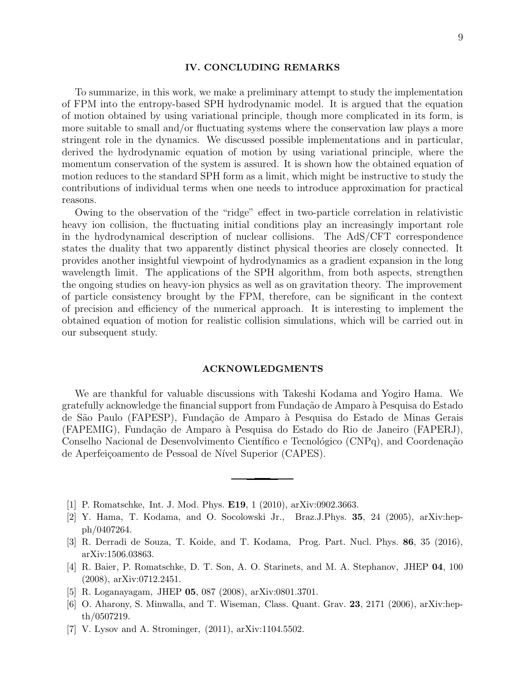#### IV. CONCLUDING REMARKS

To summarize, in this work, we make a preliminary attempt to study the implementation of FPM into the entropy-based SPH hydrodynamic model. It is argued that the equation of motion obtained by using variational principle, though more complicated in its form, is more suitable to small and/or fluctuating systems where the conservation law plays a more stringent role in the dynamics. We discussed possible implementations and in particular, derived the hydrodynamic equation of motion by using variational principle, where the momentum conservation of the system is assured. It is shown how the obtained equation of motion reduces to the standard SPH form as a limit, which might be instructive to study the contributions of individual terms when one needs to introduce approximation for practical reasons.

Owing to the observation of the "ridge" effect in two-particle correlation in relativistic heavy ion collision, the fluctuating initial conditions play an increasingly important role in the hydrodynamical description of nuclear collisions. The AdS/CFT correspondence states the duality that two apparently distinct physical theories are closely connected. It provides another insightful viewpoint of hydrodynamics as a gradient expansion in the long wavelength limit. The applications of the SPH algorithm, from both aspects, strengthen the ongoing studies on heavy-ion physics as well as on gravitation theory. The improvement of particle consistency brought by the FPM, therefore, can be significant in the context of precision and efficiency of the numerical approach. It is interesting to implement the obtained equation of motion for realistic collision simulations, which will be carried out in our subsequent study.

## ACKNOWLEDGMENTS

We are thankful for valuable discussions with Takeshi Kodama and Yogiro Hama. We gratefully acknowledge the financial support from Fundação de Amparo à Pesquisa do Estado de São Paulo (FAPESP), Fundação de Amparo à Pesquisa do Estado de Minas Gerais (FAPEMIG), Fundação de Amparo à Pesquisa do Estado do Rio de Janeiro (FAPERJ), Conselho Nacional de Desenvolvimento Científico e Tecnológico (CNPq), and Coordenação de Aperfeiçoamento de Pessoal de Nível Superior (CAPES).

- <span id="page-8-0"></span>[1] P. Romatschke, Int. J. Mod. Phys. E19, 1 (2010), arXiv:0902.3663.
- <span id="page-8-4"></span>[2] Y. Hama, T. Kodama, and O. Socolowski Jr., Braz.J.Phys. 35, 24 (2005), arXiv:hepph/0407264.
- <span id="page-8-1"></span>[3] R. Derradi de Souza, T. Koide, and T. Kodama, Prog. Part. Nucl. Phys. 86, 35 (2016), arXiv:1506.03863.
- <span id="page-8-2"></span>[4] R. Baier, P. Romatschke, D. T. Son, A. O. Starinets, and M. A. Stephanov, JHEP 04, 100 (2008), arXiv:0712.2451.
- [5] R. Loganayagam, JHEP **05**, 087 (2008), arXiv:0801.3701.
- [6] O. Aharony, S. Minwalla, and T. Wiseman, Class. Quant. Grav. 23, 2171 (2006), arXiv:hepth/0507219.
- <span id="page-8-3"></span>[7] V. Lysov and A. Strominger, (2011), arXiv:1104.5502.